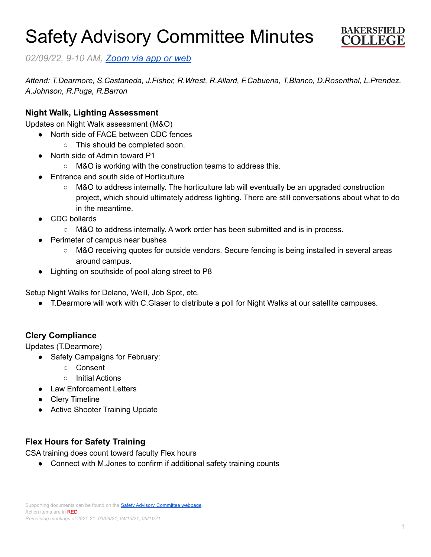# Safety Advisory Committee Minutes



*02/09/22, 9-10 AM, [Zoom](https://cccconfer.zoom.us/j/95588517472?pwd=OTV2dmFlMHN3dWkxRndrem1YL2dQQT09) via app or web*

*Attend: T.Dearmore, S.Castaneda, J.Fisher, R.Wrest, R.Allard, F.Cabuena, T.Blanco, D.Rosenthal, L.Prendez, A.Johnson, R.Puga, R.Barron*

#### **Night Walk, Lighting Assessment**

Updates on Night Walk assessment (M&O)

- North side of FACE between CDC fences
	- This should be completed soon.
- North side of Admin toward P1
	- M&O is working with the construction teams to address this.
- Entrance and south side of Horticulture
	- M&O to address internally. The horticulture lab will eventually be an upgraded construction project, which should ultimately address lighting. There are still conversations about what to do in the meantime.
- CDC bollards
	- M&O to address internally. A work order has been submitted and is in process.
- **Perimeter of campus near bushes** 
	- M&O receiving quotes for outside vendors. Secure fencing is being installed in several areas around campus.
- Lighting on southside of pool along street to P8

Setup Night Walks for Delano, Weill, Job Spot, etc.

● T.Dearmore will work with C.Glaser to distribute a poll for Night Walks at our satellite campuses.

# **Clery Compliance**

Updates (T.Dearmore)

- Safety Campaigns for February:
	- Consent
	- Initial Actions
- Law Enforcement Letters
- Clery Timeline
- Active Shooter Training Update

# **Flex Hours for Safety Training**

CSA training does count toward faculty Flex hours

● Connect with M.Jones to confirm if additional safety training counts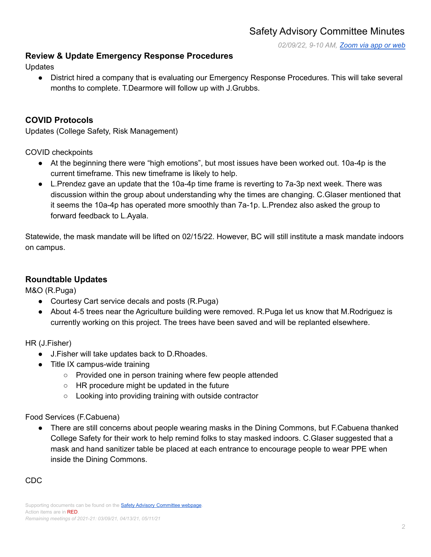*02/09/22, 9-10 AM, [Zoom](https://cccconfer.zoom.us/j/95588517472?pwd=OTV2dmFlMHN3dWkxRndrem1YL2dQQT09) via app or web*

# **Review & Update Emergency Response Procedures**

Updates

● District hired a company that is evaluating our Emergency Response Procedures. This will take several months to complete. T.Dearmore will follow up with J.Grubbs.

### **COVID Protocols**

Updates (College Safety, Risk Management)

COVID checkpoints

- At the beginning there were "high emotions", but most issues have been worked out. 10a-4p is the current timeframe. This new timeframe is likely to help.
- L.Prendez gave an update that the 10a-4p time frame is reverting to 7a-3p next week. There was discussion within the group about understanding why the times are changing. C.Glaser mentioned that it seems the 10a-4p has operated more smoothly than 7a-1p. L.Prendez also asked the group to forward feedback to L.Ayala.

Statewide, the mask mandate will be lifted on 02/15/22. However, BC will still institute a mask mandate indoors on campus.

#### **Roundtable Updates**

M&O (R.Puga)

- Courtesy Cart service decals and posts (R.Puga)
- About 4-5 trees near the Agriculture building were removed. R.Puga let us know that M.Rodriguez is currently working on this project. The trees have been saved and will be replanted elsewhere.

HR (J.Fisher)

- J.Fisher will take updates back to D.Rhoades.
- Title IX campus-wide training
	- Provided one in person training where few people attended
	- HR procedure might be updated in the future
	- Looking into providing training with outside contractor

Food Services (F.Cabuena)

● There are still concerns about people wearing masks in the Dining Commons, but F.Cabuena thanked College Safety for their work to help remind folks to stay masked indoors. C.Glaser suggested that a mask and hand sanitizer table be placed at each entrance to encourage people to wear PPE when inside the Dining Commons.

#### CDC